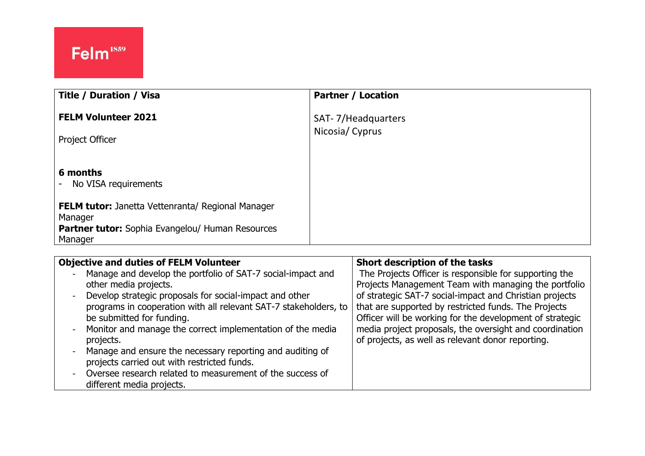| <b>Title / Duration / Visa</b>                                      | <b>Partner / Location</b>            |
|---------------------------------------------------------------------|--------------------------------------|
| <b>FELM Volunteer 2021</b>                                          | SAT-7/Headquarters<br>Nicosia/Cyprus |
| Project Officer                                                     |                                      |
| 6 months<br>No VISA requirements                                    |                                      |
| <b>FELM tutor:</b> Janetta Vettenranta/ Regional Manager<br>Manager |                                      |
| <b>Partner tutor:</b> Sophia Evangelou/ Human Resources<br>Manager  |                                      |

| <b>Objective and duties of FELM Volunteer</b>                                                                                                                                                                                                                                                                                                     | Short description of the tasks                                                                                                                                                                                                                                                                |
|---------------------------------------------------------------------------------------------------------------------------------------------------------------------------------------------------------------------------------------------------------------------------------------------------------------------------------------------------|-----------------------------------------------------------------------------------------------------------------------------------------------------------------------------------------------------------------------------------------------------------------------------------------------|
| Manage and develop the portfolio of SAT-7 social-impact and<br>٠<br>other media projects.<br>Develop strategic proposals for social-impact and other<br>$\blacksquare$<br>programs in cooperation with all relevant SAT-7 stakeholders, to<br>be submitted for funding.                                                                           | The Projects Officer is responsible for supporting the<br>Projects Management Team with managing the portfolio<br>of strategic SAT-7 social-impact and Christian projects<br>that are supported by restricted funds. The Projects<br>Officer will be working for the development of strategic |
| Monitor and manage the correct implementation of the media<br>$\qquad \qquad \blacksquare$<br>projects.<br>Manage and ensure the necessary reporting and auditing of<br>$\overline{a}$<br>projects carried out with restricted funds.<br>Oversee research related to measurement of the success of<br>$\blacksquare$<br>different media projects. | media project proposals, the oversight and coordination<br>of projects, as well as relevant donor reporting.                                                                                                                                                                                  |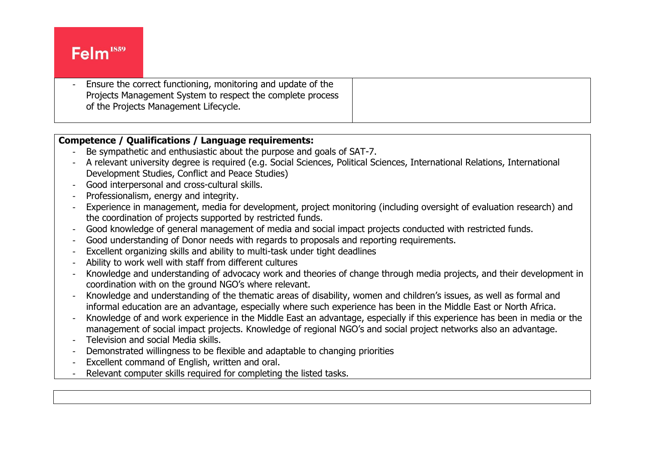# Felm<sup>1859</sup>

Ensure the correct functioning, monitoring and update of the Projects Management System to respect the complete process of the Projects Management Lifecycle.

### **Competence / Qualifications / Language requirements:**

- Be sympathetic and enthusiastic about the purpose and goals of SAT-7.
- A relevant university degree is required (e.g. Social Sciences, Political Sciences, International Relations, International Development Studies, Conflict and Peace Studies)
- Good interpersonal and cross-cultural skills.
- Professionalism, energy and integrity.
- Experience in management, media for development, project monitoring (including oversight of evaluation research) and the coordination of projects supported by restricted funds.
- Good knowledge of general management of media and social impact projects conducted with restricted funds.
- Good understanding of Donor needs with regards to proposals and reporting requirements.
- Excellent organizing skills and ability to multi-task under tight deadlines
- Ability to work well with staff from different cultures
- Knowledge and understanding of advocacy work and theories of change through media projects, and their development in coordination with on the ground NGO's where relevant.
- Knowledge and understanding of the thematic areas of disability, women and children's issues, as well as formal and informal education are an advantage, especially where such experience has been in the Middle East or North Africa.
- Knowledge of and work experience in the Middle East an advantage, especially if this experience has been in media or the management of social impact projects. Knowledge of regional NGO's and social project networks also an advantage.
- Television and social Media skills.
- Demonstrated willingness to be flexible and adaptable to changing priorities
- Excellent command of English, written and oral.
- Relevant computer skills required for completing the listed tasks.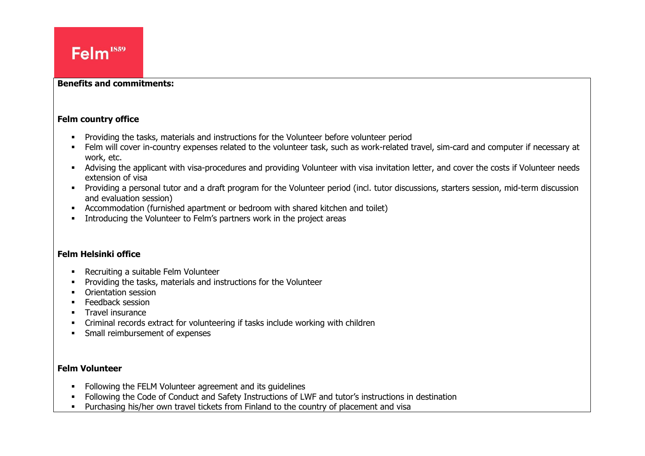#### **Benefits and commitments:**

#### **Felm country office**

- **•** Providing the tasks, materials and instructions for the Volunteer before volunteer period
- Felm will cover in-country expenses related to the volunteer task, such as work-related travel, sim-card and computer if necessary at work, etc.
- Advising the applicant with visa-procedures and providing Volunteer with visa invitation letter, and cover the costs if Volunteer needs extension of visa
- Providing a personal tutor and a draft program for the Volunteer period (incl. tutor discussions, starters session, mid-term discussion and evaluation session)
- Accommodation (furnished apartment or bedroom with shared kitchen and toilet)
- Introducing the Volunteer to Felm's partners work in the project areas

### **Felm Helsinki office**

- Recruiting a suitable Felm Volunteer
- Providing the tasks, materials and instructions for the Volunteer
- Orientation session
- **Feedback session**
- **•** Travel insurance
- Criminal records extract for volunteering if tasks include working with children
- **•** Small reimbursement of expenses

#### **Felm Volunteer**

- Following the FELM Volunteer agreement and its guidelines
- Following the Code of Conduct and Safety Instructions of LWF and tutor's instructions in destination
- Purchasing his/her own travel tickets from Finland to the country of placement and visa